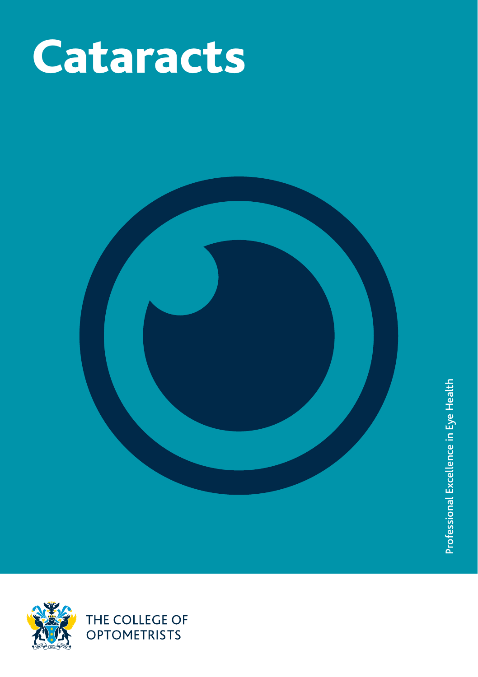



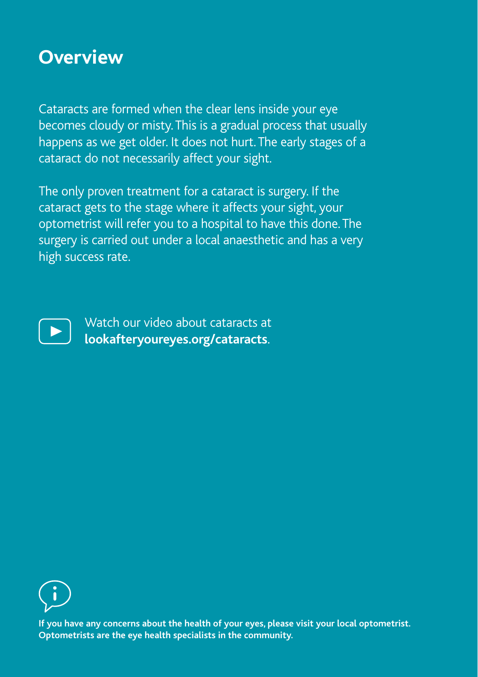## **Overview**

Cataracts are formed when the clear lens inside your eye becomes cloudy or misty. This is a gradual process that usually happens as we get older. It does not hurt. The early stages of a cataract do not necessarily affect your sight.

The only proven treatment for a cataract is surgery. If the cataract gets to the stage where it affects your sight, your optometrist will refer you to a hospital to have this done. The surgery is carried out under a local anaesthetic and has a very high success rate.



Watch our video about cataracts at **lookafteryoureyes.org/cataracts**.



**If you have any concerns about the health of your eyes, please visit your local optometrist. Optometrists are the eye health specialists in the community.**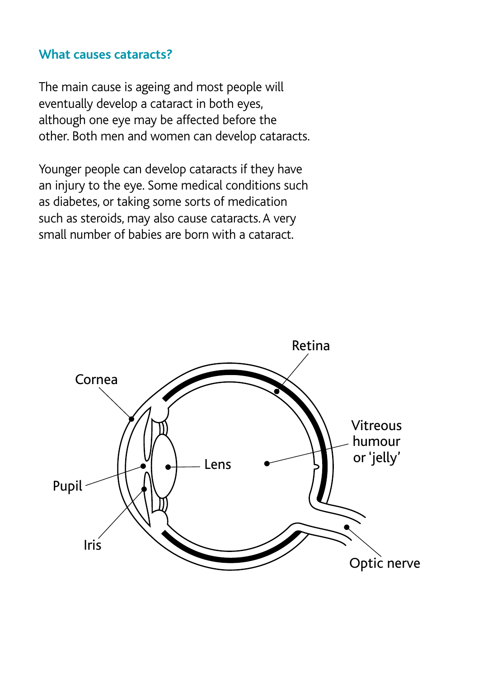#### **What causes cataracts?**

The main cause is ageing and most people will eventually develop a cataract in both eyes, although one eye may be affected before the other. Both men and women can develop cataracts.

Younger people can develop cataracts if they have an injury to the eye. Some medical conditions such as diabetes, or taking some sorts of medication such as steroids, may also cause cataracts. A very small number of babies are born with a cataract.

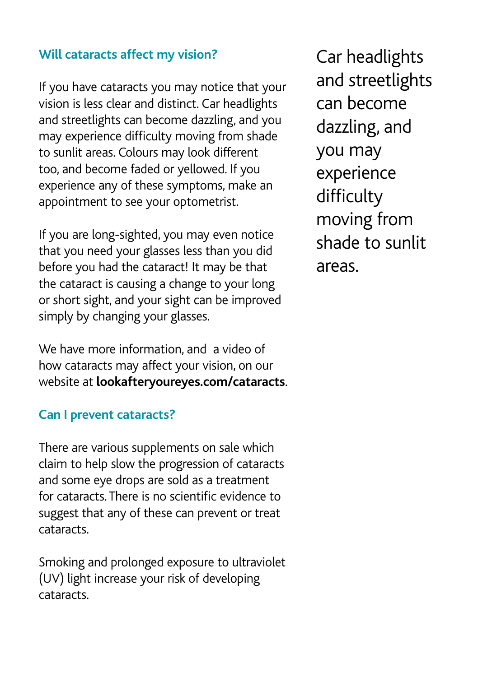## **Will cataracts affect my vision?**

If you have cataracts you may notice that your vision is less clear and distinct. Car headlights and streetlights can become dazzling, and you may experience difficulty moving from shade to sunlit areas. Colours may look different too, and become faded or yellowed. If you experience any of these symptoms, make an appointment to see your optometrist.

If you are long-sighted, you may even notice that you need your glasses less than you did before you had the cataract! It may be that the cataract is causing a change to your long or short sight, and your sight can be improved simply by changing your glasses.

We have more information, and a video of how cataracts may affect your vision, on our website at **lookafteryoureyes.com/cataracts**.

## **Can I prevent cataracts?**

There are various supplements on sale which claim to help slow the progression of cataracts and some eye drops are sold as a treatment for cataracts. There is no scientific evidence to suggest that any of these can prevent or treat cataracts.

Smoking and prolonged exposure to ultraviolet (UV) light increase your risk of developing cataracts.

Car headlights and streetlights can become dazzling, and you may experience difficulty moving from shade to sunlit areas.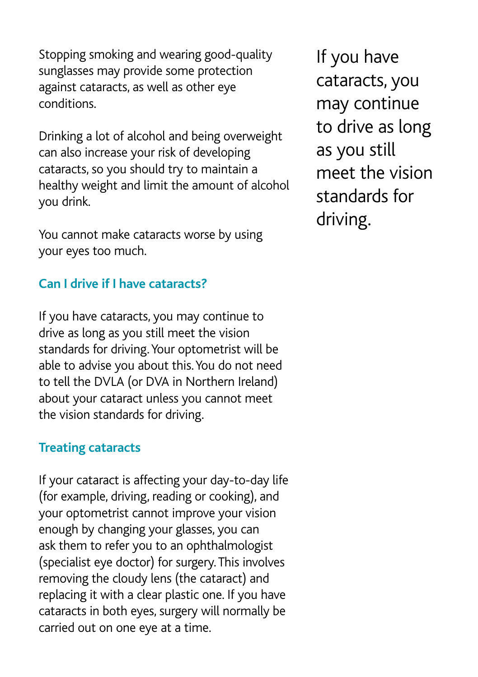Stopping smoking and wearing good-quality sunglasses may provide some protection against cataracts, as well as other eye conditions.

Drinking a lot of alcohol and being overweight can also increase your risk of developing cataracts, so you should try to maintain a healthy weight and limit the amount of alcohol you drink.

You cannot make cataracts worse by using your eyes too much.

## **Can I drive if I have cataracts?**

If you have cataracts, you may continue to drive as long as you still meet the vision standards for driving. Your optometrist will be able to advise you about this. You do not need to tell the DVLA (or DVA in Northern Ireland) about your cataract unless you cannot meet the vision standards for driving.

## **Treating cataracts**

If your cataract is affecting your day-to-day life (for example, driving, reading or cooking), and your optometrist cannot improve your vision enough by changing your glasses, you can ask them to refer you to an ophthalmologist (specialist eye doctor) for surgery. This involves removing the cloudy lens (the cataract) and replacing it with a clear plastic one. If you have cataracts in both eyes, surgery will normally be carried out on one eye at a time.

If you have cataracts, you may continue to drive as long as you still meet the vision standards for driving.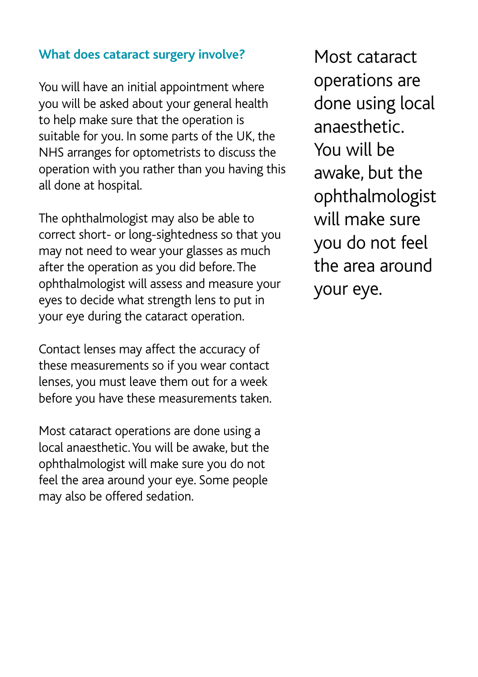## **What does cataract surgery involve?**

You will have an initial appointment where you will be asked about your general health to help make sure that the operation is suitable for you. In some parts of the UK, the NHS arranges for optometrists to discuss the operation with you rather than you having this all done at hospital.

The ophthalmologist may also be able to correct short- or long-sightedness so that you may not need to wear your glasses as much after the operation as you did before. The ophthalmologist will assess and measure your eyes to decide what strength lens to put in your eye during the cataract operation.

Contact lenses may affect the accuracy of these measurements so if you wear contact lenses, you must leave them out for a week before you have these measurements taken.

Most cataract operations are done using a local anaesthetic. You will be awake, but the ophthalmologist will make sure you do not feel the area around your eye. Some people may also be offered sedation.

Most cataract operations are done using local anaesthetic. You will be awake, but the ophthalmologist will make sure you do not feel the area around your eye.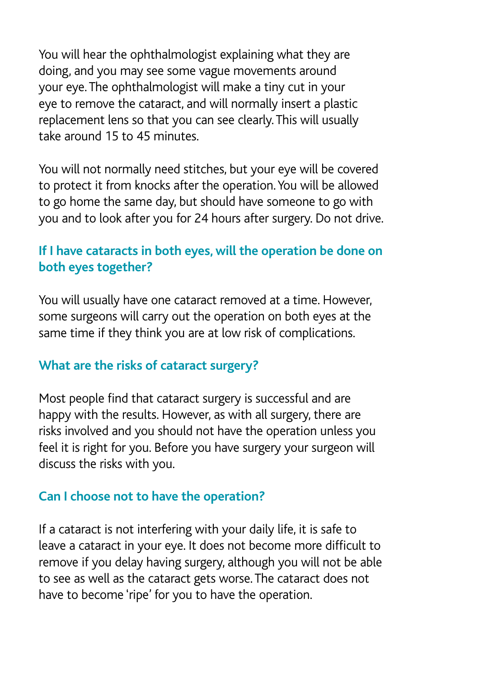You will hear the ophthalmologist explaining what they are doing, and you may see some vague movements around your eye. The ophthalmologist will make a tiny cut in your eye to remove the cataract, and will normally insert a plastic replacement lens so that you can see clearly. This will usually take around 15 to 45 minutes.

You will not normally need stitches, but your eye will be covered to protect it from knocks after the operation. You will be allowed to go home the same day, but should have someone to go with you and to look after you for 24 hours after surgery. Do not drive.

## **If I have cataracts in both eyes, will the operation be done on both eyes together?**

You will usually have one cataract removed at a time. However, some surgeons will carry out the operation on both eyes at the same time if they think you are at low risk of complications.

## **What are the risks of cataract surgery?**

Most people find that cataract surgery is successful and are happy with the results. However, as with all surgery, there are risks involved and you should not have the operation unless you feel it is right for you. Before you have surgery your surgeon will discuss the risks with you.

## **Can I choose not to have the operation?**

If a cataract is not interfering with your daily life, it is safe to leave a cataract in your eye. It does not become more difficult to remove if you delay having surgery, although you will not be able to see as well as the cataract gets worse. The cataract does not have to become 'ripe' for you to have the operation.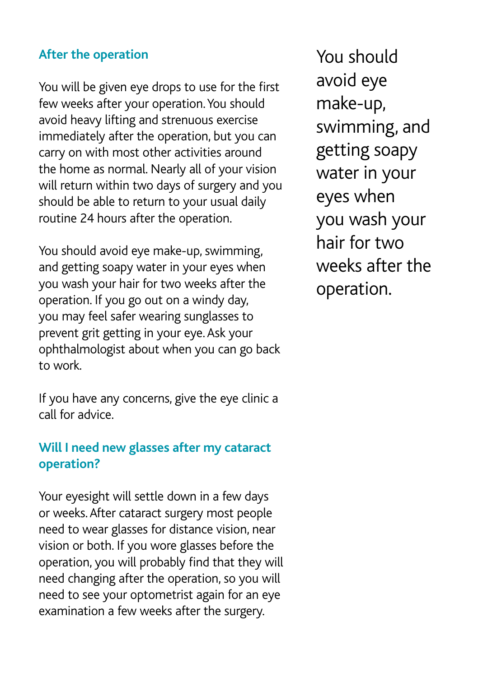### **After the operation**

You will be given eye drops to use for the first few weeks after your operation. You should avoid heavy lifting and strenuous exercise immediately after the operation, but you can carry on with most other activities around the home as normal. Nearly all of your vision will return within two days of surgery and you should be able to return to your usual daily routine 24 hours after the operation.

You should avoid eye make-up, swimming, and getting soapy water in your eyes when you wash your hair for two weeks after the operation. If you go out on a windy day, you may feel safer wearing sunglasses to prevent grit getting in your eye. Ask your ophthalmologist about when you can go back to work.

If you have any concerns, give the eye clinic a call for advice.

## **Will I need new glasses after my cataract operation?**

Your eyesight will settle down in a few days or weeks. After cataract surgery most people need to wear glasses for distance vision, near vision or both. If you wore glasses before the operation, you will probably find that they will need changing after the operation, so you will need to see your optometrist again for an eye examination a few weeks after the surgery.

You should avoid eye make-up, swimming, and getting soapy water in your eyes when you wash your hair for two weeks after the operation.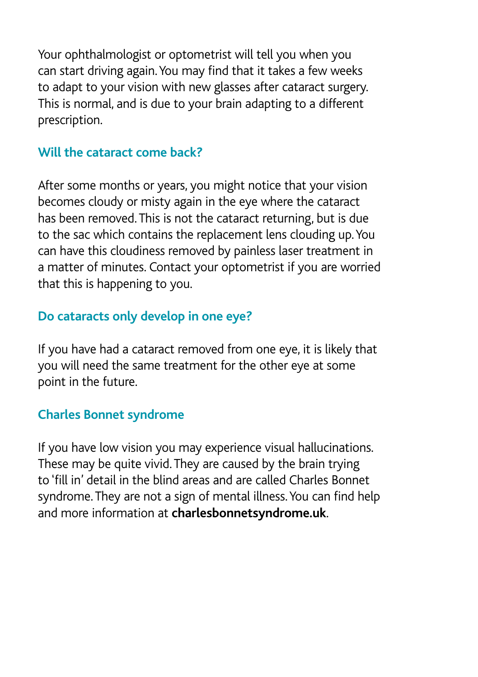Your ophthalmologist or optometrist will tell you when you can start driving again. You may find that it takes a few weeks to adapt to your vision with new glasses after cataract surgery. This is normal, and is due to your brain adapting to a different prescription.

#### **Will the cataract come back?**

After some months or years, you might notice that your vision becomes cloudy or misty again in the eye where the cataract has been removed. This is not the cataract returning, but is due to the sac which contains the replacement lens clouding up. You can have this cloudiness removed by painless laser treatment in a matter of minutes. Contact your optometrist if you are worried that this is happening to you.

## **Do cataracts only develop in one eye?**

If you have had a cataract removed from one eye, it is likely that you will need the same treatment for the other eye at some point in the future.

## **Charles Bonnet syndrome**

If you have low vision you may experience visual hallucinations. These may be quite vivid. They are caused by the brain trying to 'fill in' detail in the blind areas and are called Charles Bonnet syndrome. They are not a sign of mental illness. You can find help and more information at **charlesbonnetsyndrome.uk**.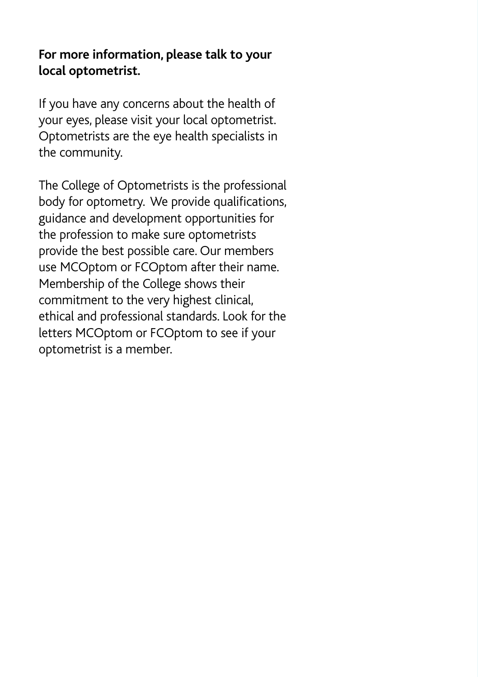## **For more information, please talk to your local optometrist.**

If you have any concerns about the health of your eyes, please visit your local optometrist. Optometrists are the eye health specialists in the community.

The College of Optometrists is the professional body for optometry. We provide qualifications, guidance and development opportunities for the profession to make sure optometrists provide the best possible care. Our members use MCOptom or FCOptom after their name. Membership of the College shows their commitment to the very highest clinical, ethical and professional standards. Look for the letters MCOptom or FCOptom to see if your optometrist is a member.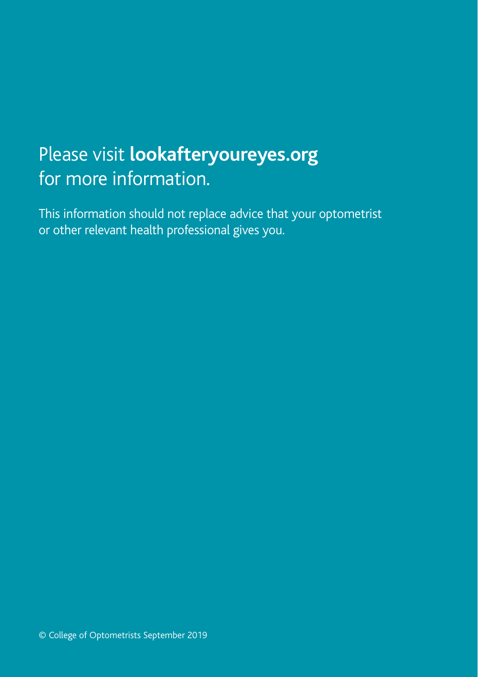# Please visit **lookafteryoureyes.org** for more information.

This information should not replace advice that your optometrist or other relevant health professional gives you.